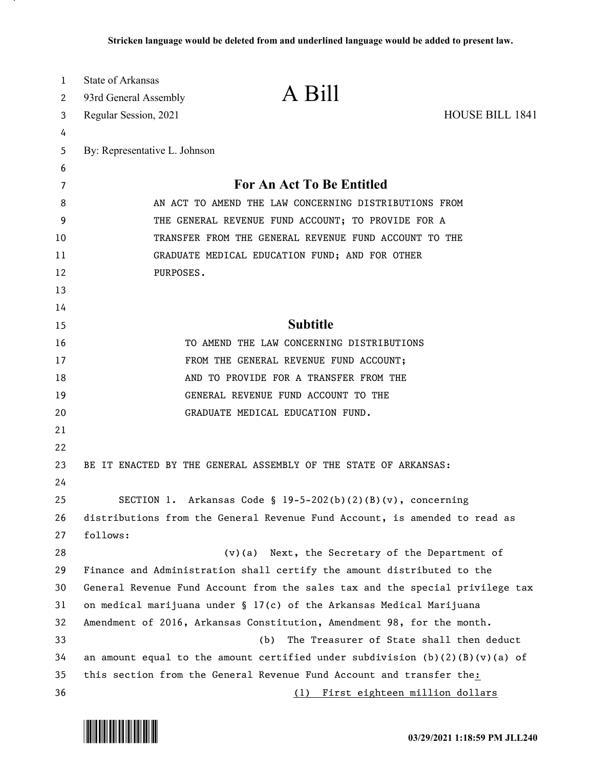| $\mathbf{1}$ | <b>State of Arkansas</b>                                                                                    | A Bill                                                                     |                        |
|--------------|-------------------------------------------------------------------------------------------------------------|----------------------------------------------------------------------------|------------------------|
| 2            | 93rd General Assembly                                                                                       |                                                                            |                        |
| 3            | Regular Session, 2021                                                                                       |                                                                            | <b>HOUSE BILL 1841</b> |
| 4            |                                                                                                             |                                                                            |                        |
| 5            | By: Representative L. Johnson                                                                               |                                                                            |                        |
| 6            |                                                                                                             |                                                                            |                        |
| 7            | For An Act To Be Entitled                                                                                   |                                                                            |                        |
| 8            | AN ACT TO AMEND THE LAW CONCERNING DISTRIBUTIONS FROM                                                       |                                                                            |                        |
| 9<br>10      | THE GENERAL REVENUE FUND ACCOUNT; TO PROVIDE FOR A<br>TRANSFER FROM THE GENERAL REVENUE FUND ACCOUNT TO THE |                                                                            |                        |
| 11           | GRADUATE MEDICAL EDUCATION FUND; AND FOR OTHER                                                              |                                                                            |                        |
| 12           | PURPOSES.                                                                                                   |                                                                            |                        |
| 13           |                                                                                                             |                                                                            |                        |
| 14           |                                                                                                             |                                                                            |                        |
| 15           |                                                                                                             | <b>Subtitle</b>                                                            |                        |
| 16           |                                                                                                             | TO AMEND THE LAW CONCERNING DISTRIBUTIONS                                  |                        |
| 17           |                                                                                                             | FROM THE GENERAL REVENUE FUND ACCOUNT;                                     |                        |
| 18           |                                                                                                             | AND TO PROVIDE FOR A TRANSFER FROM THE                                     |                        |
| 19           |                                                                                                             | GENERAL REVENUE FUND ACCOUNT TO THE                                        |                        |
| 20           |                                                                                                             | GRADUATE MEDICAL EDUCATION FUND.                                           |                        |
| 21           |                                                                                                             |                                                                            |                        |
| 22           |                                                                                                             |                                                                            |                        |
| 23           |                                                                                                             | BE IT ENACTED BY THE GENERAL ASSEMBLY OF THE STATE OF ARKANSAS:            |                        |
| 24           |                                                                                                             |                                                                            |                        |
| 25           |                                                                                                             | SECTION 1. Arkansas Code § $19-5-202(b)(2)(B)(v)$ , concerning             |                        |
| 26           |                                                                                                             | distributions from the General Revenue Fund Account, is amended to read as |                        |
| 27           | follows:                                                                                                    |                                                                            |                        |
| 28           |                                                                                                             | $(v)(a)$ Next, the Secretary of the Department of                          |                        |
| 29           | Finance and Administration shall certify the amount distributed to the                                      |                                                                            |                        |
| 30           | General Revenue Fund Account from the sales tax and the special privilege tax                               |                                                                            |                        |
| 31           | on medical marijuana under § 17(c) of the Arkansas Medical Marijuana                                        |                                                                            |                        |
| 32           | Amendment of 2016, Arkansas Constitution, Amendment 98, for the month.                                      |                                                                            |                        |
| 33           |                                                                                                             | The Treasurer of State shall then deduct<br>(b)                            |                        |
| 34           | an amount equal to the amount certified under subdivision $(b)(2)(B)(v)(a)$ of                              |                                                                            |                        |
| 35           |                                                                                                             | this section from the General Revenue Fund Account and transfer the:       |                        |
| 36           |                                                                                                             | (1) First eighteen million dollars                                         |                        |